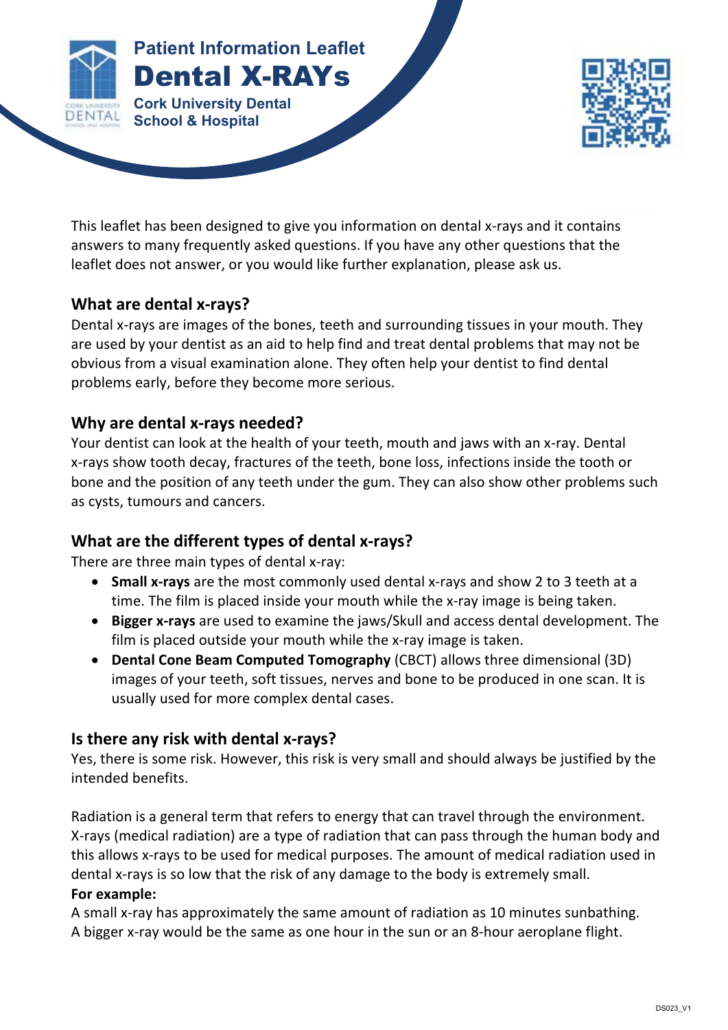

This leaflet has been designed to give you information on dental x-rays and it contains answers to many frequently asked questions. If you have any other questions that the leaflet does not answer, or you would like further explanation, please ask us.

## **What are dental x-rays?**

Dental x-rays are images of the bones, teeth and surrounding tissues in your mouth. They are used by your dentist as an aid to help find and treat dental problems that may not be obvious from a visual examination alone. They often help your dentist to find dental problems early, before they become more serious.

#### **Why are dental x-rays needed?**

Your dentist can look at the health of your teeth, mouth and jaws with an x-ray. Dental x-rays show tooth decay, fractures of the teeth, bone loss, infections inside the tooth or bone and the position of any teeth under the gum. They can also show other problems such as cysts, tumours and cancers.

## **What are the different types of dental x-rays?**

There are three main types of dental x-ray:

- **Small x-rays** are the most commonly used dental x-rays and show 2 to 3 teeth at a time. The film is placed inside your mouth while the x-ray image is being taken.
- **Bigger x-rays** are used to examine the jaws/Skull and access dental development. The film is placed outside your mouth while the x-ray image is taken.
- **Dental Cone Beam Computed Tomography** (CBCT) allows three dimensional (3D) images of your teeth, soft tissues, nerves and bone to be produced in one scan. It is usually used for more complex dental cases.

#### **Is there any risk with dental x-rays?**

Yes, there is some risk. However, this risk is very small and should always be justified by the intended benefits.

Radiation is a general term that refers to energy that can travel through the environment. X-rays (medical radiation) are a type of radiation that can pass through the human body and this allows x-rays to be used for medical purposes. The amount of medical radiation used in dental x-rays is so low that the risk of any damage to the body is extremely small. **For example:**

A small x-ray has approximately the same amount of radiation as 10 minutes sunbathing. A bigger x-ray would be the same as one hour in the sun or an 8-hour aeroplane flight.